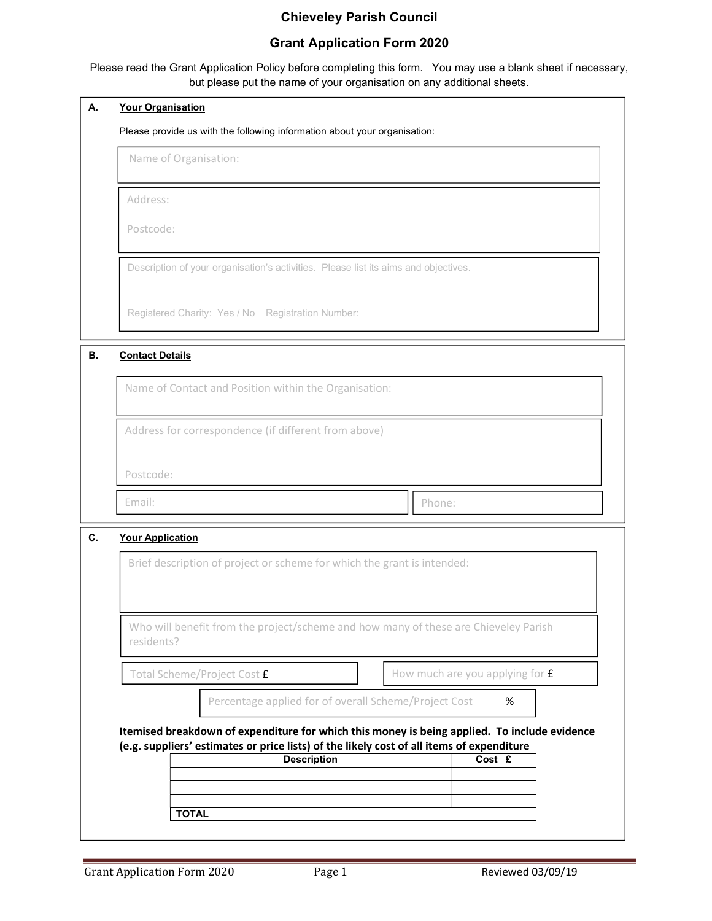# Chieveley Parish Council

## Grant Application Form 2020

Please read the Grant Application Policy before completing this form. You may use a blank sheet if necessary, but please put the name of your organisation on any additional sheets.

| А.                                                   | <b>Your Organisation</b>                                                                                                                 |  |                                   |  |  |  |  |
|------------------------------------------------------|------------------------------------------------------------------------------------------------------------------------------------------|--|-----------------------------------|--|--|--|--|
|                                                      | Please provide us with the following information about your organisation:                                                                |  |                                   |  |  |  |  |
|                                                      | Name of Organisation:<br>Address:<br>Postcode:                                                                                           |  |                                   |  |  |  |  |
|                                                      |                                                                                                                                          |  |                                   |  |  |  |  |
|                                                      |                                                                                                                                          |  |                                   |  |  |  |  |
|                                                      | Description of your organisation's activities. Please list its aims and objectives.<br>Registered Charity: Yes / No Registration Number: |  |                                   |  |  |  |  |
|                                                      |                                                                                                                                          |  |                                   |  |  |  |  |
| В.                                                   | <b>Contact Details</b>                                                                                                                   |  |                                   |  |  |  |  |
|                                                      | Name of Contact and Position within the Organisation:                                                                                    |  |                                   |  |  |  |  |
| Address for correspondence (if different from above) |                                                                                                                                          |  |                                   |  |  |  |  |
|                                                      | Postcode:                                                                                                                                |  |                                   |  |  |  |  |
|                                                      | Email:                                                                                                                                   |  | Phone:                            |  |  |  |  |
| C.                                                   | <b>Your Application</b>                                                                                                                  |  |                                   |  |  |  |  |
|                                                      | Brief description of project or scheme for which the grant is intended:                                                                  |  |                                   |  |  |  |  |
|                                                      | Who will benefit from the project/scheme and how many of these are Chieveley Parish<br>residents?                                        |  |                                   |  |  |  |  |
|                                                      |                                                                                                                                          |  |                                   |  |  |  |  |
|                                                      | Total Scheme/Project Cost £                                                                                                              |  | How much are you applying for $f$ |  |  |  |  |
|                                                      | Percentage applied for of overall Scheme/Project Cost                                                                                    |  | %                                 |  |  |  |  |
|                                                      | Itemised breakdown of expenditure for which this money is being applied. To include evidence                                             |  |                                   |  |  |  |  |
|                                                      | (e.g. suppliers' estimates or price lists) of the likely cost of all items of expenditure<br><b>Description</b>                          |  | Cost £                            |  |  |  |  |
|                                                      |                                                                                                                                          |  |                                   |  |  |  |  |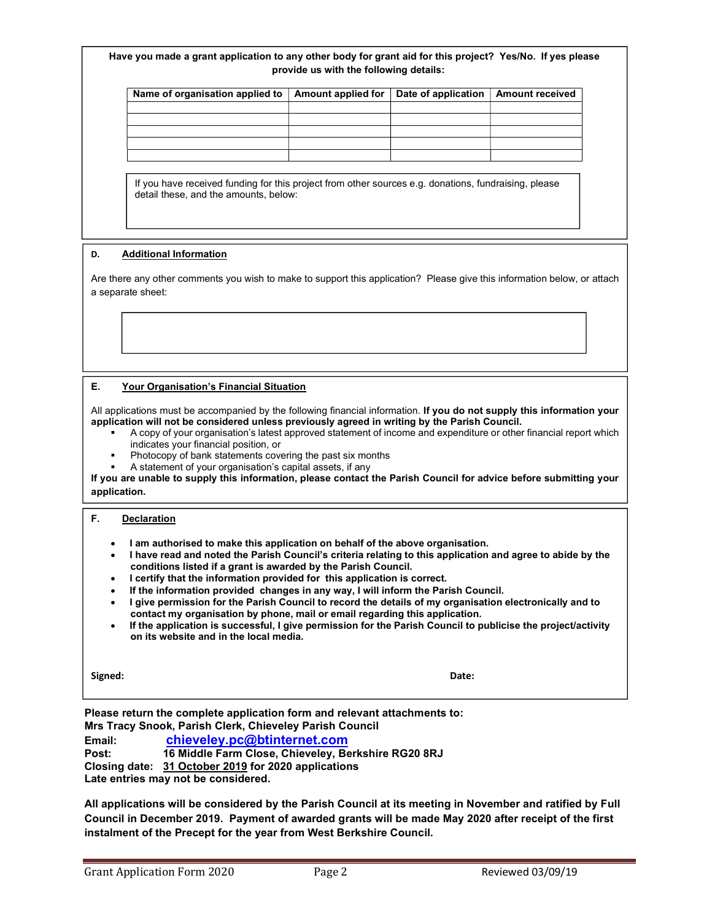#### Have you made a grant application to any other body for grant aid for this project? Yes/No. If yes please provide us with the following details:

| Name of organisation applied to $\vert$ Amount applied for $\vert$ Date of application $\vert$ Amount received |  |  |
|----------------------------------------------------------------------------------------------------------------|--|--|
|                                                                                                                |  |  |
|                                                                                                                |  |  |
|                                                                                                                |  |  |
|                                                                                                                |  |  |
|                                                                                                                |  |  |

If you have received funding for this project from other sources e.g. donations, fundraising, please detail these, and the amounts, below:

#### D. Additional Information

Are there any other comments you wish to make to support this application? Please give this information below, or attach a separate sheet:

#### E. Your Organisation's Financial Situation

All applications must be accompanied by the following financial information. If you do not supply this information your application will not be considered unless previously agreed in writing by the Parish Council.

- A copy of your organisation's latest approved statement of income and expenditure or other financial report which indicates your financial position, or
- Photocopy of bank statements covering the past six months
- A statement of your organisation's capital assets, if any

If you are unable to supply this information, please contact the Parish Council for advice before submitting your application.

#### F. Declaration

- I am authorised to make this application on behalf of the above organisation.
- I have read and noted the Parish Council's criteria relating to this application and agree to abide by the conditions listed if a grant is awarded by the Parish Council.
- I certify that the information provided for this application is correct.
- If the information provided changes in any way, I will inform the Parish Council.
- I give permission for the Parish Council to record the details of my organisation electronically and to contact my organisation by phone, mail or email regarding this application.
- If the application is successful, I give permission for the Parish Council to publicise the project/activity on its website and in the local media.

Signed: **Date: Date: Date: Date: Date: Date: Date: Date: Date: Date: Date: Date: Date: Date: Date: Date: Date: Date: Date: Date: Date: Date: Date: Date: Date: Date: Date:** 

Please return the complete application form and relevant attachments to: Mrs Tracy Snook, Parish Clerk, Chieveley Parish Council Email: chieveley.pc@btinternet.com Post: 16 Middle Farm Close, Chieveley, Berkshire RG20 8RJ Closing date: 31 October 2019 for 2020 applications

Late entries may not be considered.

All applications will be considered by the Parish Council at its meeting in November and ratified by Full Council in December 2019. Payment of awarded grants will be made May 2020 after receipt of the first instalment of the Precept for the year from West Berkshire Council.